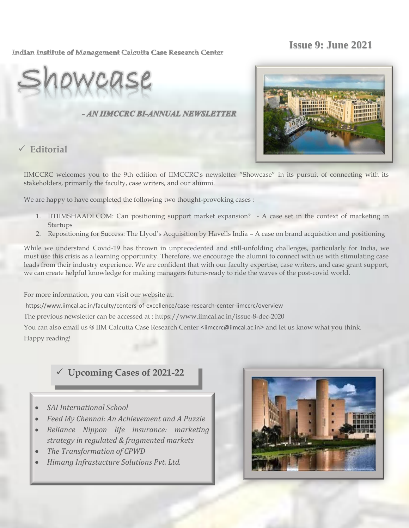# **Issue 9: June 2021**

#### Indian Institute of Management Calcutta Case Research Center

### - AN IIMCCRC BI-ANNUAL NEWSLETTER

**Editorial** 



IIMCCRC welcomes you to the 9th edition of IIMCCRC"s newsletter "Showcase" in its pursuit of connecting with its stakeholders, primarily the faculty, case writers, and our alumni.

We are happy to have completed the following two thought-provoking cases :

- 1. IITIIMSHAADI.COM: Can positioning support market expansion? A case set in the context of marketing in Startups
- 2. Repositioning for Success: The Llyod"s Acquisition by Havells India A case on brand acquisition and positioning

While we understand Covid-19 has thrown in unprecedented and still-unfolding challenges, particularly for India, we must use this crisis as a learning opportunity. Therefore, we encourage the alumni to connect with us with stimulating case leads from their industry experience. We are confident that with our faculty expertise, case writers, and case grant support, we can create helpful knowledge for making managers future-ready to ride the waves of the post-covid world.

For more information, you can visit our website at:

https://www.iimcal.ac.in/faculty/centers-of-excellence/case-research-center-iimccrc/overview

The previous newsletter can be accessed at : https://www.iimcal.ac.in/issue-8-dec-2020

You can also email us @ IIM Calcutta Case Research Center <iimccrc@iimcal.ac.in> and let us know what you think. Happy reading!

# **Upcoming Cases of 2021-22**

- *SAI International School*
- *Feed My Chennai: An Achievement and A Puzzle*
- *Reliance Nippon life insurance: marketing strategy in regulated & fragmented markets*
- *The Transformation of CPWD*
- *Himang Infrastucture Solutions Pvt. Ltd.*

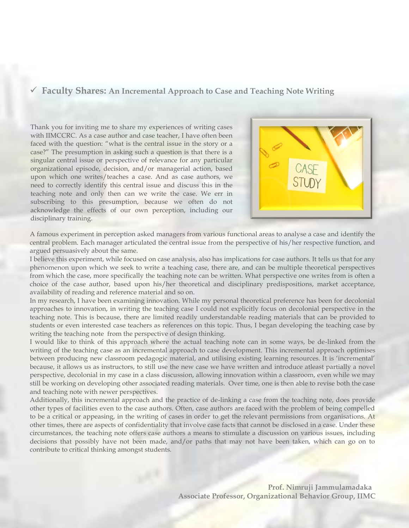#### **Faculty Shares: An Incremental Approach to Case and Teaching Note Writing**

Thank you for inviting me to share my experiences of writing cases with IIMCCRC. As a case author and case teacher, I have often been faced with the question: "what is the central issue in the story or a case?" The presumption in asking such a question is that there is a singular central issue or perspective of relevance for any particular organizational episode, decision, and/or managerial action, based upon which one writes/teaches a case. And as case authors, we need to correctly identify this central issue and discuss this in the teaching note and only then can we write the case. We err in subscribing to this presumption, because we often do not acknowledge the effects of our own perception, including our disciplinary training.



A famous experiment in perception asked managers from various functional areas to analyse a case and identify the central problem. Each manager articulated the central issue from the perspective of his/her respective function, and argued persuasively about the same.

I believe this experiment, while focused on case analysis, also has implications for case authors. It tells us that for any phenomenon upon which we seek to write a teaching case, there are, and can be multiple theoretical perspectives from which the case, more specifically the teaching note can be written. What perspective one writes from is often a choice of the case author, based upon his/her theoretical and disciplinary predispositions, market acceptance, availability of reading and reference material and so on.

In my research, I have been examining innovation. While my personal theoretical preference has been for decolonial approaches to innovation, in writing the teaching case I could not explicitly focus on decolonial perspective in the teaching note. This is because, there are limited readily understandable reading materials that can be provided to students or even interested case teachers as references on this topic. Thus, I began developing the teaching case by writing the teaching note from the perspective of design thinking.

I would like to think of this approach where the actual teaching note can in some ways, be de-linked from the writing of the teaching case as an incremental approach to case development. This incremental approach optimises between producing new classroom pedagogic material, and utilising existing learning resources. It is 'incremental' because, it allows us as instructors, to still use the new case we have written and introduce atleast partially a novel perspective, decolonial in my case in a class discussion, allowing innovation within a classroom, even while we may still be working on developing other associated reading materials. Over time, one is then able to revise both the case and teaching note with newer perspectives.

Additionally, this incremental approach and the practice of de-linking a case from the teaching note, does provide other types of facilities even to the case authors. Often, case authors are faced with the problem of being compelled to be a critical or appeasing, in the writing of cases in order to get the relevant permissions from organisations. At other times, there are aspects of confidentiality that involve case facts that cannot be disclosed in a case. Under these circumstances, the teaching note offers case authors a means to stimulate a discussion on various issues, including decisions that possibly have not been made, and/or paths that may not have been taken, which can go on to contribute to critical thinking amongst students.